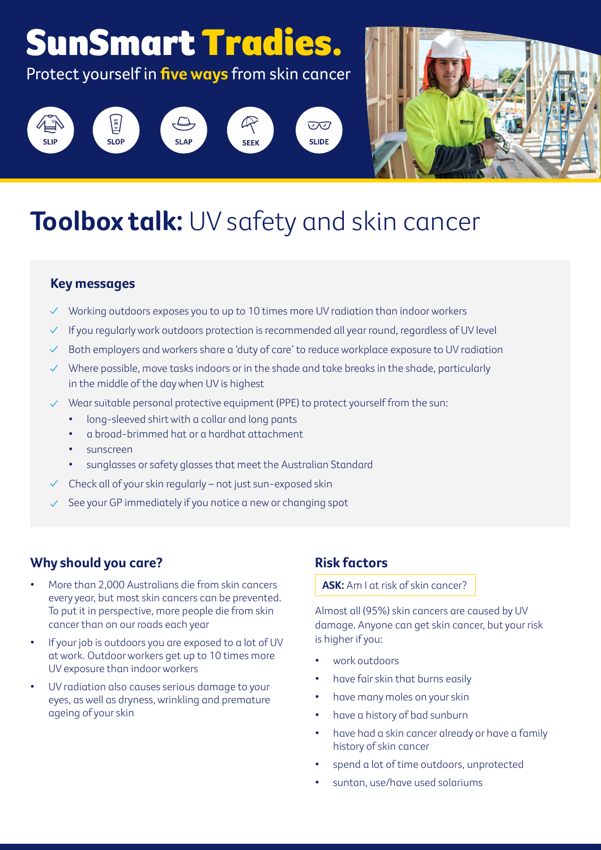

# **Toolbox talk:** UV safety and skin cancer

### **Key messages**

- $\vee$  Working outdoors exposes you to up to 10 times more UV radiation than indoor workers
- $\checkmark$  If you regularly work outdoors protection is recommended all year round, regardless of UV level
- Both employers and workers share a 'duty of care' to reduce workplace exposure to UV radiation
- $\vee$  Where possible, move tasks indoors or in the shade and take breaks in the shade, particularly in the middle of the day when UV is highest
- $\vee$  Wear suitable personal protective equipment (PPE) to protect yourself from the sun:
	- long-sleeved shirt with a collar and long pants
	- a broad-brimmed hat or a hardhat attachment
	- sunscreen
	- sunglasses or safety glasses that meet the Australian Standard
- $\vee$  Check all of your skin regularly not just sun-exposed skin
- See your GP immediately if you notice a new or changing spot

# **Why should you care?**

- More than 2,000 Australians die from skin cancers every year, but most skin cancers can be prevented. To put it in perspective, more people die from skin cancer than on our roads each year
- If your job is outdoors you are exposed to a lot of UV at work. Outdoor workers get up to 10 times more UV exposure than indoor workers
- UV radiation also causes serious damage to your eyes, as well as dryness, wrinkling and premature ageing of your skin

# **Risk factors**

#### **ASK:** Am I at risk of skin cancer?

Almost all (95%) skin cancers are caused by UV damage. Anyone can get skin cancer, but your risk is higher if you:

- work outdoors
- have fair skin that burns easily
- have many moles on your skin
- have a history of bad sunburn
- have had a skin cancer already or have a family history of skin cancer
- spend a lot of time outdoors, unprotected
- suntan, use/have used solariums